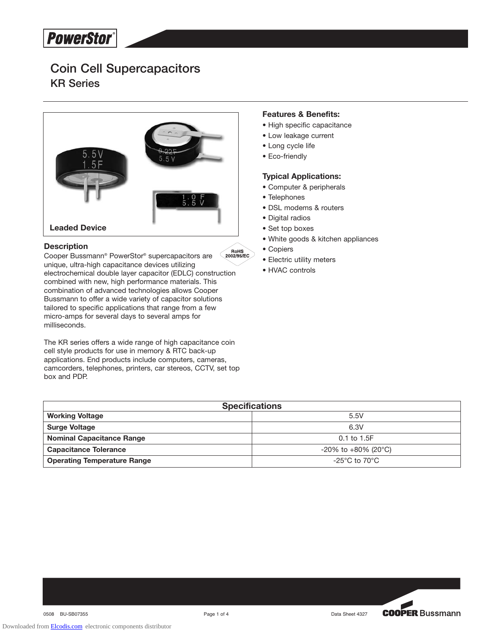# **Coin Cell Supercapacitors KR Series**



## **Description**

 $\bigcap_{2002/95/EC}$ Cooper Bussmann® PowerStor® supercapacitors are unique, ultra-high capacitance devices utilizing electrochemical double layer capacitor (EDLC) construction combined with new, high performance materials. This combination of advanced technologies allows Cooper Bussmann to offer a wide variety of capacitor solutions tailored to specific applications that range from a few micro-amps for several days to several amps for milliseconds.

The KR series offers a wide range of high capacitance coin cell style products for use in memory & RTC back-up applications. End products include computers, cameras, camcorders, telephones, printers, car stereos, CCTV, set top box and PDP.

## **Features & Benefits:**

- High specific capacitance
- Low leakage current
- Long cycle life
- Eco-friendly

## **Typical Applications:**

- Computer & peripherals
- Telephones
- DSL modems & routers
- Digital radios
- Set top boxes
- White goods & kitchen appliances
- Copiers
- Electric utility meters
- HVAC controls

| <b>Specifications</b>              |                                      |  |  |  |  |
|------------------------------------|--------------------------------------|--|--|--|--|
| <b>Working Voltage</b>             | 5.5V                                 |  |  |  |  |
| <b>Surge Voltage</b>               | 6.3V                                 |  |  |  |  |
| <b>Nominal Capacitance Range</b>   | $0.1$ to $1.5F$                      |  |  |  |  |
| <b>Capacitance Tolerance</b>       | $-20\%$ to $+80\%$ (20 $^{\circ}$ C) |  |  |  |  |
| <b>Operating Temperature Range</b> | -25°C to 70°C.                       |  |  |  |  |

**COOPER Bussmann**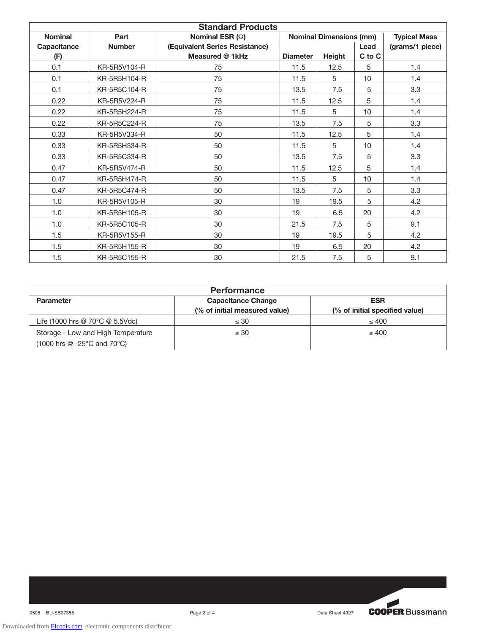| <b>Standard Products</b> |               |                                |                                |               |        |                     |  |  |
|--------------------------|---------------|--------------------------------|--------------------------------|---------------|--------|---------------------|--|--|
| <b>Nominal</b>           | Part          | Nominal ESR $(\Omega)$         | <b>Nominal Dimensions (mm)</b> |               |        | <b>Typical Mass</b> |  |  |
| Capacitance              | <b>Number</b> | (Equivalent Series Resistance) |                                |               | Lead   | (grams/1 piece)     |  |  |
| (F)                      |               | Measured @ 1kHz                | <b>Diameter</b>                | <b>Height</b> | C to C |                     |  |  |
| 0.1                      | KR-5R5V104-R  | 75                             | 11.5                           | 12.5          | 5      | 1.4                 |  |  |
| 0.1                      | KR-5R5H104-R  | 75                             | 11.5                           | 5             | 10     | 1.4                 |  |  |
| 0.1                      | KR-5R5C104-R  | 75                             | 13.5                           | 7.5           | 5      | 3.3                 |  |  |
| 0.22                     | KR-5R5V224-R  | 75                             | 11.5                           | 12.5          | 5      | 1.4                 |  |  |
| 0.22                     | KR-5R5H224-R  | 75                             | 11.5                           | 5             | 10     | 1.4                 |  |  |
| 0.22                     | KR-5R5C224-R  | 75                             | 13.5                           | 7.5           | 5      | 3.3                 |  |  |
| 0.33                     | KR-5R5V334-R  | 50                             | 11.5                           | 12.5          | 5      | 1.4                 |  |  |
| 0.33                     | KR-5R5H334-R  | 50                             | 11.5                           | 5             | 10     | 1.4                 |  |  |
| 0.33                     | KR-5R5C334-R  | 50                             | 13.5                           | 7.5           | 5      | 3.3                 |  |  |
| 0.47                     | KR-5R5V474-R  | 50                             | 11.5                           | 12.5          | 5      | 1.4                 |  |  |
| 0.47                     | KR-5R5H474-R  | 50                             | 11.5                           | 5             | 10     | 1.4                 |  |  |
| 0.47                     | KR-5R5C474-R  | 50                             | 13.5                           | 7.5           | 5      | 3.3                 |  |  |
| 1.0                      | KR-5R5V105-R  | 30                             | 19                             | 19.5          | 5      | 4.2                 |  |  |
| 1.0                      | KR-5R5H105-R  | 30                             | 19                             | 6.5           | 20     | 4.2                 |  |  |
| 1.0                      | KR-5R5C105-R  | 30                             | 21.5                           | 7.5           | 5      | 9.1                 |  |  |
| 1.5                      | KR-5R5V155-R  | 30                             | 19                             | 19.5          | 5      | 4.2                 |  |  |
| 1.5                      | KR-5R5H155-R  | 30                             | 19                             | 6.5           | 20     | 4.2                 |  |  |
| 1.5                      | KR-5R5C155-R  | 30                             | 21.5                           | 7.5           | 5      | 9.1                 |  |  |

| <b>Performance</b>                                                             |                               |                                |  |  |  |  |
|--------------------------------------------------------------------------------|-------------------------------|--------------------------------|--|--|--|--|
| <b>Parameter</b>                                                               | <b>Capacitance Change</b>     | <b>ESR</b>                     |  |  |  |  |
|                                                                                | (% of initial measured value) | (% of initial specified value) |  |  |  |  |
| Life (1000 hrs @ $70^{\circ}$ C @ 5.5Vdc)                                      | $\leq 30$                     | $\leq 400$                     |  |  |  |  |
| Storage - Low and High Temperature                                             | $\leq 30$                     | $\leq 400$                     |  |  |  |  |
| $(1000 \text{ hrs} \ @ \ -25^{\circ}\text{C} \text{ and } 70^{\circ}\text{C})$ |                               |                                |  |  |  |  |



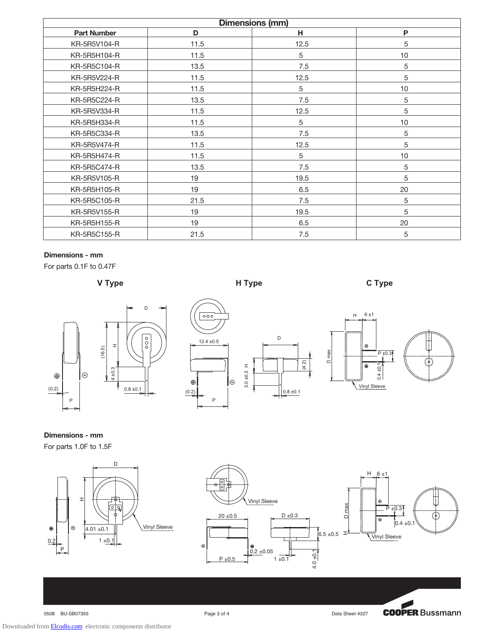| <b>Dimensions (mm)</b> |      |            |    |  |  |  |  |
|------------------------|------|------------|----|--|--|--|--|
| <b>Part Number</b>     | D    | н          | P  |  |  |  |  |
| KR-5R5V104-R           | 11.5 | 12.5       | 5  |  |  |  |  |
| KR-5R5H104-R           | 11.5 | 5          | 10 |  |  |  |  |
| KR-5R5C104-R           | 13.5 | 7.5        | 5  |  |  |  |  |
| KR-5R5V224-R           | 11.5 | 12.5       | 5  |  |  |  |  |
| KR-5R5H224-R           | 11.5 | $\sqrt{5}$ | 10 |  |  |  |  |
| KR-5R5C224-R           | 13.5 | 7.5        | 5  |  |  |  |  |
| KR-5R5V334-R           | 11.5 | 12.5       | 5  |  |  |  |  |
| KR-5R5H334-R           | 11.5 | 5          | 10 |  |  |  |  |
| KR-5R5C334-R           | 13.5 | 7.5        | 5  |  |  |  |  |
| KR-5R5V474-R           | 11.5 | 12.5       | 5  |  |  |  |  |
| KR-5R5H474-R           | 11.5 | 5          | 10 |  |  |  |  |
| KR-5R5C474-R           | 13.5 | 7.5        | 5  |  |  |  |  |
| KR-5R5V105-R           | 19   | 19.5       | 5  |  |  |  |  |
| KR-5R5H105-R           | 19   | 6.5        | 20 |  |  |  |  |
| KR-5R5C105-R           | 21.5 | 7.5        | 5  |  |  |  |  |
| KR-5R5V155-R           | 19   | 19.5       | 5  |  |  |  |  |
| KR-5R5H155-R           | 19   | 6.5        | 20 |  |  |  |  |
| KR-5R5C155-R           | 21.5 | 7.5        | 5  |  |  |  |  |

## **Dimensions - mm**

For parts 0.1F to 0.47F





**Dimensions - mm**







Downloaded from [Elcodis.com](http://elcodis.com/) electronic components distributor

0508 BU-SB07355 **Page 3 of 4** Page 3 of 4 Data Sheet 4327

**COOPER Bussmann**